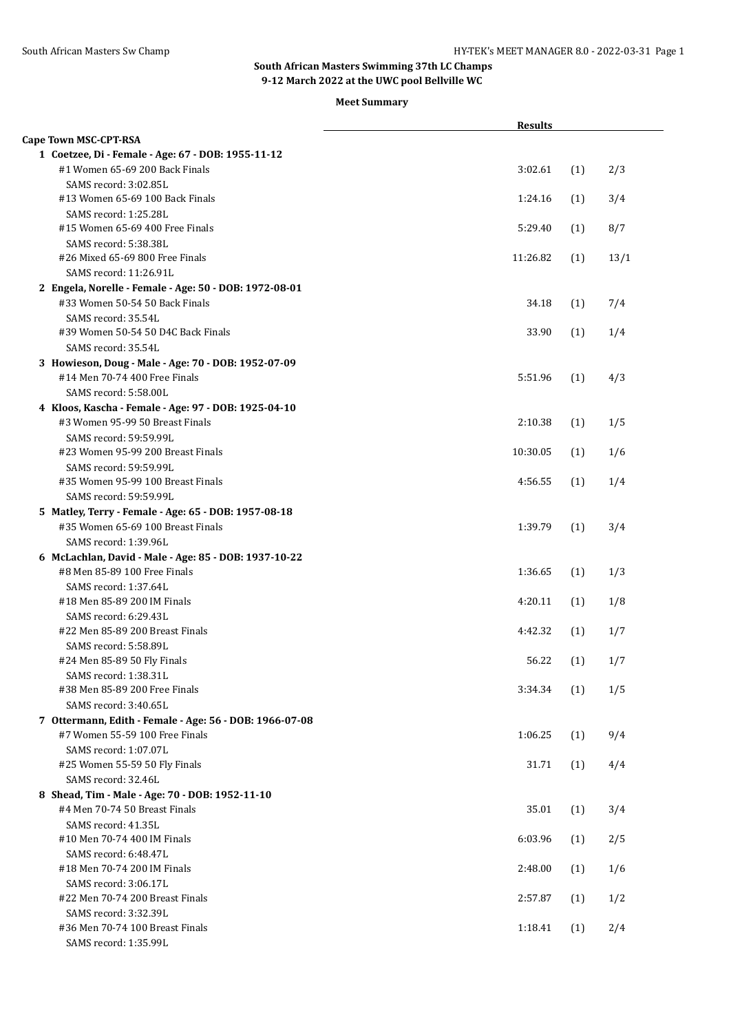|                                                                                       | <b>Results</b> |     |      |
|---------------------------------------------------------------------------------------|----------------|-----|------|
| Cape Town MSC-CPT-RSA                                                                 |                |     |      |
| 1 Coetzee, Di - Female - Age: 67 - DOB: 1955-11-12                                    |                |     |      |
| #1 Women 65-69 200 Back Finals                                                        | 3:02.61        | (1) | 2/3  |
| SAMS record: 3:02.85L                                                                 |                |     |      |
| #13 Women 65-69 100 Back Finals                                                       | 1:24.16        | (1) | 3/4  |
| SAMS record: 1:25.28L                                                                 |                |     |      |
| #15 Women 65-69 400 Free Finals                                                       | 5:29.40        | (1) | 8/7  |
| SAMS record: 5:38.38L                                                                 |                |     |      |
| #26 Mixed 65-69 800 Free Finals                                                       | 11:26.82       | (1) | 13/1 |
| SAMS record: 11:26.91L                                                                |                |     |      |
| 2 Engela, Norelle - Female - Age: 50 - DOB: 1972-08-01                                |                |     |      |
| #33 Women 50-54 50 Back Finals                                                        | 34.18          | (1) | 7/4  |
| SAMS record: 35.54L                                                                   |                |     |      |
| #39 Women 50-54 50 D4C Back Finals                                                    | 33.90          | (1) | 1/4  |
| SAMS record: 35.54L                                                                   |                |     |      |
| 3 Howieson, Doug - Male - Age: 70 - DOB: 1952-07-09                                   |                |     |      |
| #14 Men 70-74 400 Free Finals                                                         | 5:51.96        | (1) | 4/3  |
| SAMS record: 5:58.00L                                                                 |                |     |      |
| 4 Kloos, Kascha - Female - Age: 97 - DOB: 1925-04-10                                  |                |     |      |
| #3 Women 95-99 50 Breast Finals                                                       | 2:10.38        | (1) | 1/5  |
| SAMS record: 59:59.99L                                                                |                |     |      |
| #23 Women 95-99 200 Breast Finals                                                     | 10:30.05       | (1) | 1/6  |
| SAMS record: 59:59.99L                                                                |                |     |      |
| #35 Women 95-99 100 Breast Finals                                                     | 4:56.55        | (1) | 1/4  |
| SAMS record: 59:59.99L                                                                |                |     |      |
| 5 Matley, Terry - Female - Age: 65 - DOB: 1957-08-18                                  |                |     |      |
| #35 Women 65-69 100 Breast Finals                                                     | 1:39.79        | (1) | 3/4  |
| SAMS record: 1:39.96L                                                                 |                |     |      |
| 6 McLachlan, David - Male - Age: 85 - DOB: 1937-10-22<br>#8 Men 85-89 100 Free Finals |                |     |      |
| SAMS record: 1:37.64L                                                                 | 1:36.65        | (1) | 1/3  |
| #18 Men 85-89 200 IM Finals                                                           | 4:20.11        | (1) | 1/8  |
| SAMS record: 6:29.43L                                                                 |                |     |      |
| #22 Men 85-89 200 Breast Finals                                                       | 4:42.32        | (1) | 1/7  |
| SAMS record: 5:58.89L                                                                 |                |     |      |
| #24 Men 85-89 50 Fly Finals                                                           | 56.22          | (1) | 1/7  |
| SAMS record: 1:38.31L                                                                 |                |     |      |
| #38 Men 85-89 200 Free Finals                                                         | 3:34.34        | (1) | 1/5  |
| SAMS record: 3:40.65L                                                                 |                |     |      |
| 7 Ottermann, Edith - Female - Age: 56 - DOB: 1966-07-08                               |                |     |      |
| #7 Women 55-59 100 Free Finals                                                        | 1:06.25        | (1) | 9/4  |
| SAMS record: 1:07.07L                                                                 |                |     |      |
| #25 Women 55-59 50 Fly Finals                                                         | 31.71          | (1) | 4/4  |
| SAMS record: 32.46L                                                                   |                |     |      |
| 8 Shead, Tim - Male - Age: 70 - DOB: 1952-11-10                                       |                |     |      |
| #4 Men 70-74 50 Breast Finals                                                         | 35.01          | (1) | 3/4  |
| SAMS record: 41.35L                                                                   |                |     |      |
| #10 Men 70-74 400 IM Finals                                                           | 6:03.96        | (1) | 2/5  |
| SAMS record: 6:48.47L                                                                 |                |     |      |
| #18 Men 70-74 200 IM Finals                                                           | 2:48.00        | (1) | 1/6  |
| SAMS record: 3:06.17L                                                                 |                |     |      |
| #22 Men 70-74 200 Breast Finals                                                       | 2:57.87        | (1) | 1/2  |
| SAMS record: 3:32.39L                                                                 |                |     |      |
| #36 Men 70-74 100 Breast Finals                                                       | 1:18.41        | (1) | 2/4  |
| SAMS record: 1:35.99L                                                                 |                |     |      |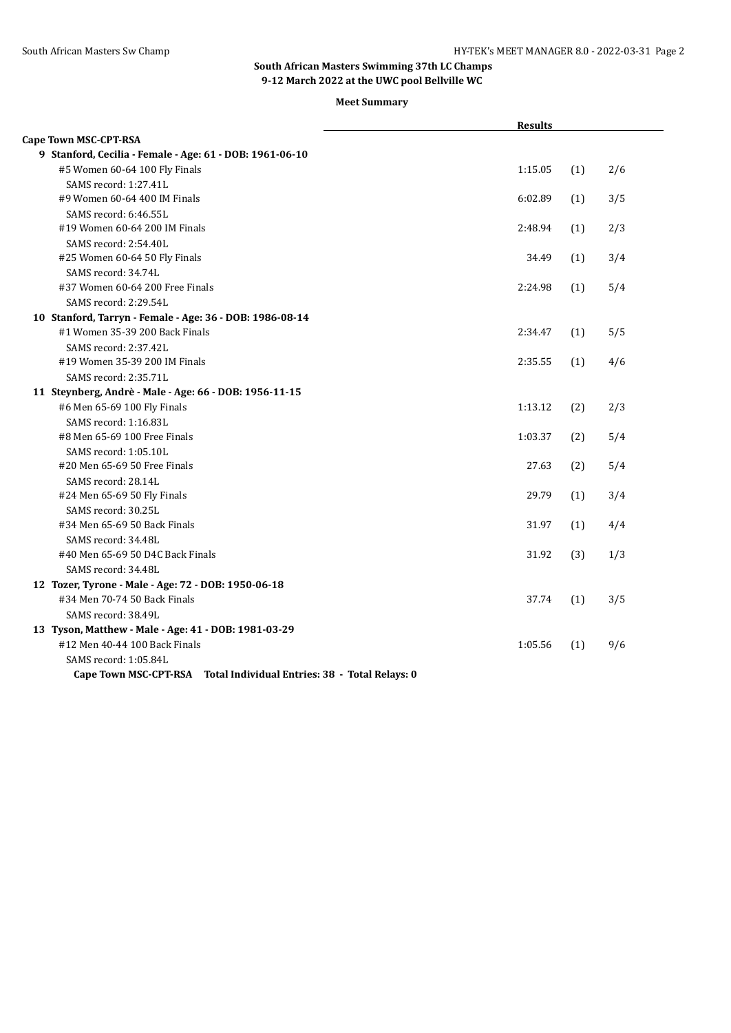|                                                                      | <b>Results</b> |     |     |
|----------------------------------------------------------------------|----------------|-----|-----|
| <b>Cape Town MSC-CPT-RSA</b>                                         |                |     |     |
| 9 Stanford, Cecilia - Female - Age: 61 - DOB: 1961-06-10             |                |     |     |
| #5 Women 60-64 100 Fly Finals                                        | 1:15.05        | (1) | 2/6 |
| SAMS record: 1:27.41L                                                |                |     |     |
| #9 Women 60-64 400 IM Finals                                         | 6:02.89        | (1) | 3/5 |
| SAMS record: 6:46.55L                                                |                |     |     |
| #19 Women 60-64 200 IM Finals                                        | 2:48.94        | (1) | 2/3 |
| SAMS record: 2:54.40L                                                |                |     |     |
| #25 Women 60-64 50 Fly Finals                                        | 34.49          | (1) | 3/4 |
| SAMS record: 34.74L                                                  |                |     |     |
| #37 Women 60-64 200 Free Finals                                      | 2:24.98        | (1) | 5/4 |
| SAMS record: 2:29.54L                                                |                |     |     |
| 10 Stanford, Tarryn - Female - Age: 36 - DOB: 1986-08-14             |                |     |     |
| #1 Women 35-39 200 Back Finals                                       | 2:34.47        | (1) | 5/5 |
| SAMS record: 2:37.42L                                                |                |     |     |
| #19 Women 35-39 200 IM Finals                                        | 2:35.55        | (1) | 4/6 |
| SAMS record: 2:35.71L                                                |                |     |     |
| 11 Steynberg, Andrè - Male - Age: 66 - DOB: 1956-11-15               |                |     |     |
| #6 Men 65-69 100 Fly Finals                                          | 1:13.12        | (2) | 2/3 |
| SAMS record: 1:16.83L                                                |                |     |     |
| #8 Men 65-69 100 Free Finals                                         | 1:03.37        | (2) | 5/4 |
| SAMS record: 1:05.10L                                                |                |     |     |
| #20 Men 65-69 50 Free Finals                                         | 27.63          | (2) | 5/4 |
| SAMS record: 28.14L                                                  |                |     |     |
| #24 Men 65-69 50 Fly Finals                                          | 29.79          | (1) | 3/4 |
| SAMS record: 30.25L                                                  |                |     |     |
| #34 Men 65-69 50 Back Finals                                         | 31.97          | (1) | 4/4 |
| SAMS record: 34.48L                                                  |                |     |     |
| #40 Men 65-69 50 D4C Back Finals                                     | 31.92          | (3) | 1/3 |
| SAMS record: 34.48L                                                  |                |     |     |
| 12 Tozer, Tyrone - Male - Age: 72 - DOB: 1950-06-18                  |                |     |     |
| #34 Men 70-74 50 Back Finals                                         | 37.74          | (1) | 3/5 |
| SAMS record: 38.49L                                                  |                |     |     |
| 13 Tyson, Matthew - Male - Age: 41 - DOB: 1981-03-29                 |                |     |     |
| #12 Men 40-44 100 Back Finals                                        | 1:05.56        | (1) | 9/6 |
| SAMS record: 1:05.84L                                                |                |     |     |
| Cape Town MSC-CPT-RSA Total Individual Entries: 38 - Total Relays: 0 |                |     |     |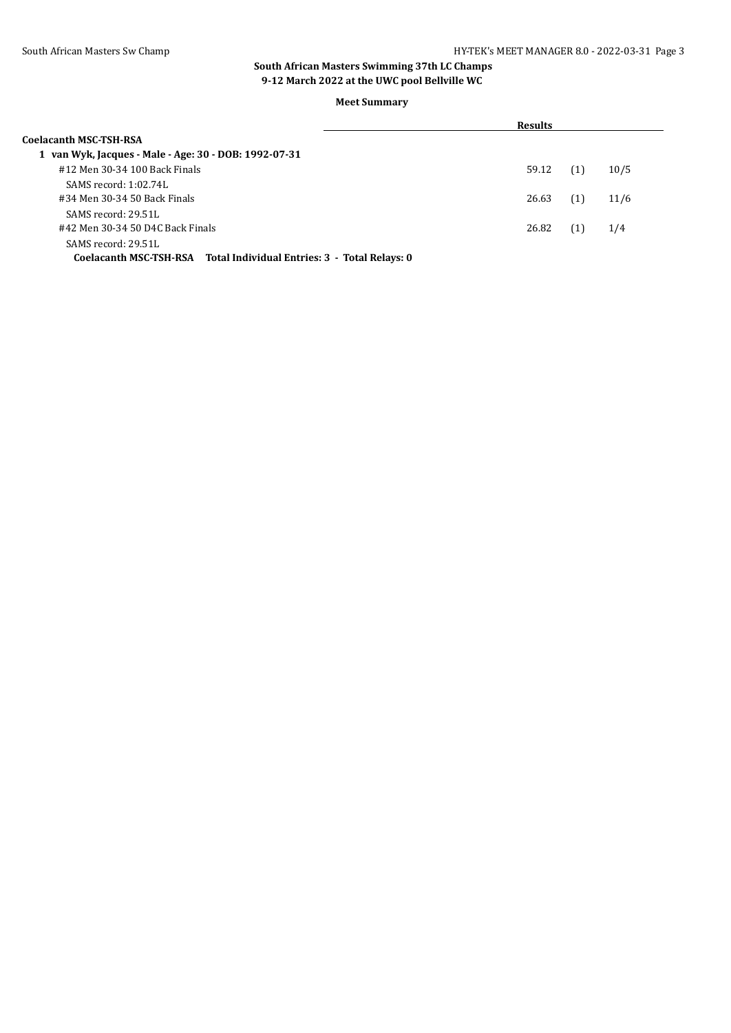|                                                                      | <b>Results</b> |     |      |
|----------------------------------------------------------------------|----------------|-----|------|
| Coelacanth MSC-TSH-RSA                                               |                |     |      |
| 1 van Wyk, Jacques - Male - Age: 30 - DOB: 1992-07-31                |                |     |      |
| #12 Men 30-34 100 Back Finals                                        | 59.12          | (1) | 10/5 |
| SAMS record: 1:02.74L                                                |                |     |      |
| #34 Men 30-34 50 Back Finals                                         | 26.63          | (1) | 11/6 |
| SAMS record: 29.51L                                                  |                |     |      |
| #42 Men 30-34 50 D4C Back Finals                                     | 26.82          | (1) | 1/4  |
| SAMS record: 29.51L                                                  |                |     |      |
| Coelacanth MSC-TSH-RSA Total Individual Entries: 3 - Total Relays: 0 |                |     |      |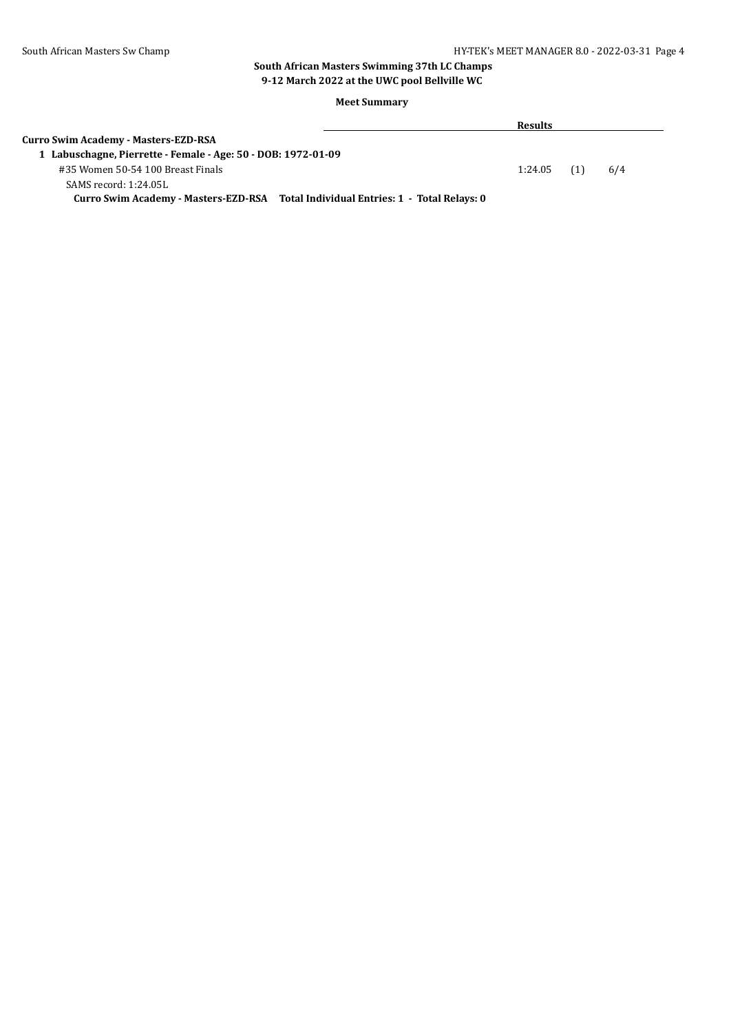#### South African Masters Sw Champ **HY-TEK's MEET MANAGER 8.0 - 2022-03-31** Page 4

#### **South African Masters Swimming 37th LC Champs 9-12 March 2022 at the UWC pool Bellville WC**

|                                                                                    | <b>Results</b> |     |  |
|------------------------------------------------------------------------------------|----------------|-----|--|
| <b>Curro Swim Academy - Masters-EZD-RSA</b>                                        |                |     |  |
| 1 Labuschagne, Pierrette - Female - Age: 50 - DOB: 1972-01-09                      |                |     |  |
| #35 Women 50-54 100 Breast Finals                                                  | $1:24.05$ (1)  | 6/4 |  |
| SAMS record: 1:24.05L                                                              |                |     |  |
| Curro Swim Academy - Masters-EZD-RSA Total Individual Entries: 1 - Total Relays: 0 |                |     |  |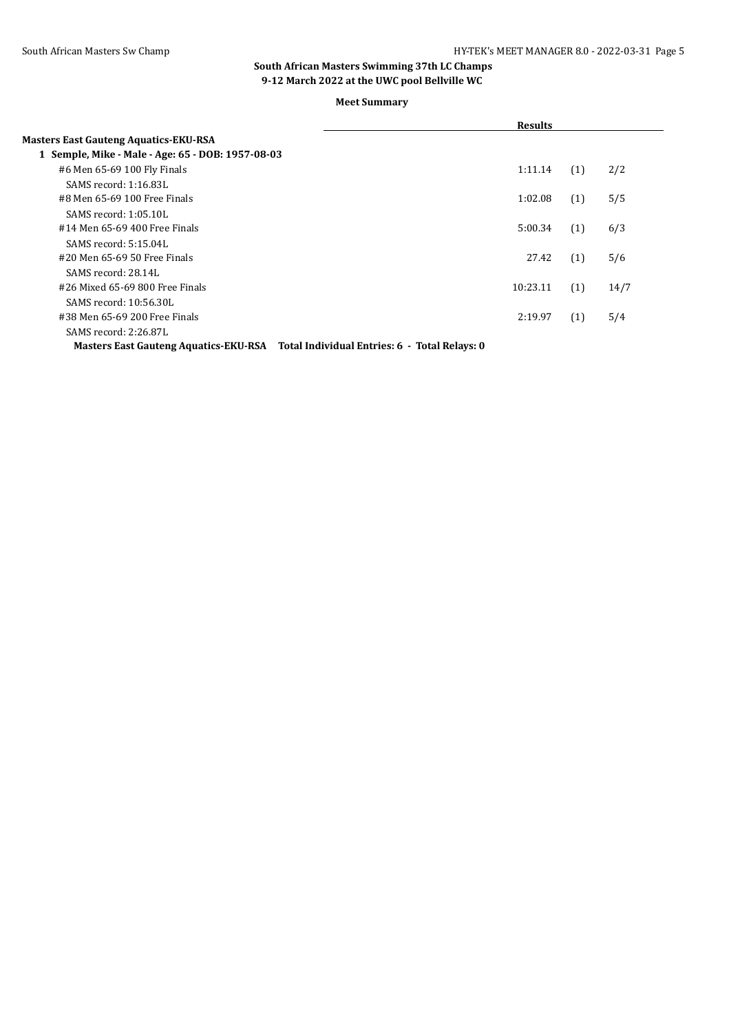**Meet Summary**

|                                                   | <b>Results</b> |     |      |  |
|---------------------------------------------------|----------------|-----|------|--|
| <b>Masters East Gauteng Aquatics-EKU-RSA</b>      |                |     |      |  |
| 1 Semple, Mike - Male - Age: 65 - DOB: 1957-08-03 |                |     |      |  |
| #6 Men 65-69 100 Fly Finals                       | 1:11.14        | (1) | 2/2  |  |
| SAMS record: 1:16.83L                             |                |     |      |  |
| #8 Men 65-69 100 Free Finals                      | 1:02.08        | (1) | 5/5  |  |
| SAMS record: 1:05.10L                             |                |     |      |  |
| #14 Men 65-69 400 Free Finals                     | 5:00.34        | (1) | 6/3  |  |
| SAMS record: 5:15.04L                             |                |     |      |  |
| #20 Men 65-69 50 Free Finals                      | 27.42          | (1) | 5/6  |  |
| SAMS record: 28.14L                               |                |     |      |  |
| #26 Mixed 65-69 800 Free Finals                   | 10:23.11       | (1) | 14/7 |  |
| SAMS record: 10:56.30L                            |                |     |      |  |
| #38 Men 65-69 200 Free Finals                     | 2:19.97        | (1) | 5/4  |  |
| SAMS record: 2:26.87L                             |                |     |      |  |
|                                                   |                |     |      |  |

**Masters East Gauteng Aquatics-EKU-RSA Total Individual Entries: 6 - Total Relays: 0**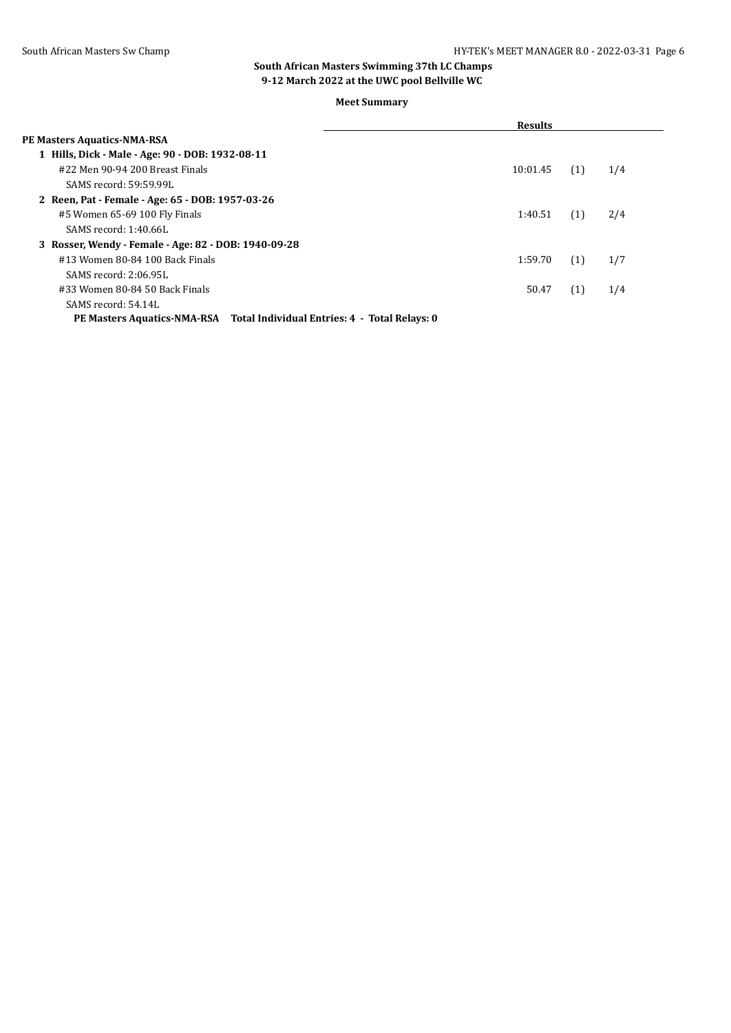|                                                                           | <b>Results</b> |     |     |
|---------------------------------------------------------------------------|----------------|-----|-----|
| <b>PE Masters Aquatics-NMA-RSA</b>                                        |                |     |     |
| 1 Hills, Dick - Male - Age: 90 - DOB: 1932-08-11                          |                |     |     |
| #22 Men 90-94 200 Breast Finals                                           | 10:01.45       | (1) | 1/4 |
| SAMS record: 59:59.99L                                                    |                |     |     |
| 2 Reen, Pat - Female - Age: 65 - DOB: 1957-03-26                          |                |     |     |
| #5 Women 65-69 100 Fly Finals                                             | 1:40.51        | (1) | 2/4 |
| SAMS record: 1:40.66L                                                     |                |     |     |
| 3 Rosser, Wendy - Female - Age: 82 - DOB: 1940-09-28                      |                |     |     |
| #13 Women 80-84 100 Back Finals                                           | 1:59.70        | (1) | 1/7 |
| SAMS record: 2:06.95L                                                     |                |     |     |
| #33 Women 80-84 50 Back Finals                                            | 50.47          | (1) | 1/4 |
| SAMS record: 54.14L                                                       |                |     |     |
| PE Masters Aquatics-NMA-RSA Total Individual Entries: 4 - Total Relays: 0 |                |     |     |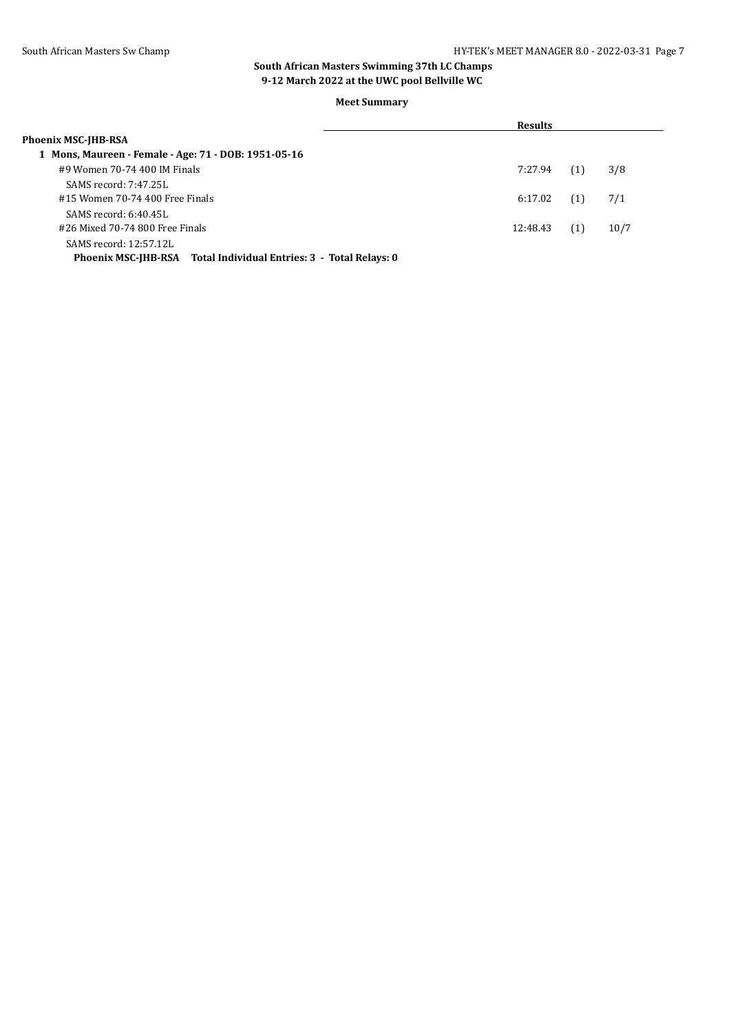|                                                                   | <b>Results</b> |     |      |  |
|-------------------------------------------------------------------|----------------|-----|------|--|
| Phoenix MSC-JHB-RSA                                               |                |     |      |  |
| 1 Mons, Maureen - Female - Age: 71 - DOB: 1951-05-16              |                |     |      |  |
| #9 Women 70-74 400 IM Finals                                      | 7:27.94        | (1) | 3/8  |  |
| SAMS record: 7:47.25L                                             |                |     |      |  |
| #15 Women 70-74 400 Free Finals                                   | 6:17.02        | (1) | 7/1  |  |
| $SAMS$ record: $6:40.45L$                                         |                |     |      |  |
| #26 Mixed 70-74 800 Free Finals                                   | 12:48.43       | (1) | 10/7 |  |
| SAMS record: 12:57.12L                                            |                |     |      |  |
| Phoenix MSC-IHB-RSA Total Individual Entries: 3 - Total Relays: 0 |                |     |      |  |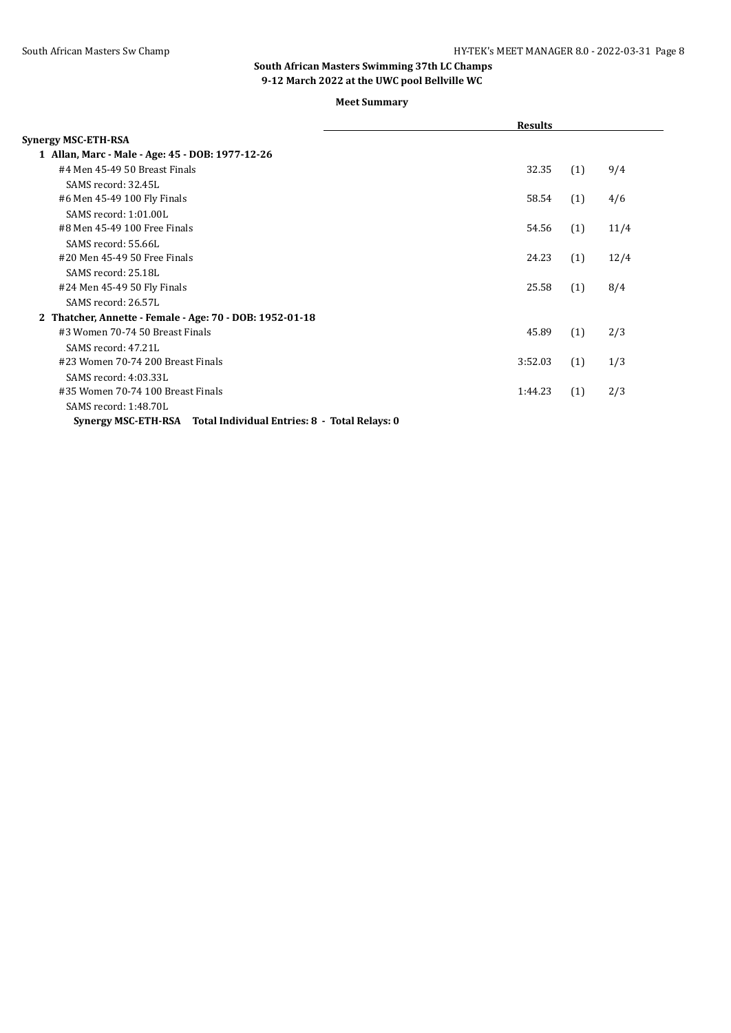|                                                                   | <b>Results</b> |     |      |
|-------------------------------------------------------------------|----------------|-----|------|
| Synergy MSC-ETH-RSA                                               |                |     |      |
| 1 Allan, Marc - Male - Age: 45 - DOB: 1977-12-26                  |                |     |      |
| #4 Men 45-49 50 Breast Finals                                     | 32.35          | (1) | 9/4  |
| SAMS record: 32.45L                                               |                |     |      |
| #6 Men 45-49 100 Fly Finals                                       | 58.54          | (1) | 4/6  |
| SAMS record: 1:01.00L                                             |                |     |      |
| #8 Men 45-49 100 Free Finals                                      | 54.56          | (1) | 11/4 |
| SAMS record: 55.66L                                               |                |     |      |
| #20 Men 45-49 50 Free Finals                                      | 24.23          | (1) | 12/4 |
| SAMS record: 25.18L                                               |                |     |      |
| #24 Men 45-49 50 Fly Finals                                       | 25.58          | (1) | 8/4  |
| SAMS record: 26.57L                                               |                |     |      |
| 2 Thatcher, Annette - Female - Age: 70 - DOB: 1952-01-18          |                |     |      |
| #3 Women 70-74 50 Breast Finals                                   | 45.89          | (1) | 2/3  |
| SAMS record: 47.21L                                               |                |     |      |
| #23 Women 70-74 200 Breast Finals                                 | 3:52.03        | (1) | 1/3  |
| SAMS record: 4:03.33L                                             |                |     |      |
| #35 Women 70-74 100 Breast Finals                                 | 1:44.23        | (1) | 2/3  |
| SAMS record: 1:48.70L                                             |                |     |      |
| Synergy MSC-ETH-RSA Total Individual Entries: 8 - Total Relays: 0 |                |     |      |